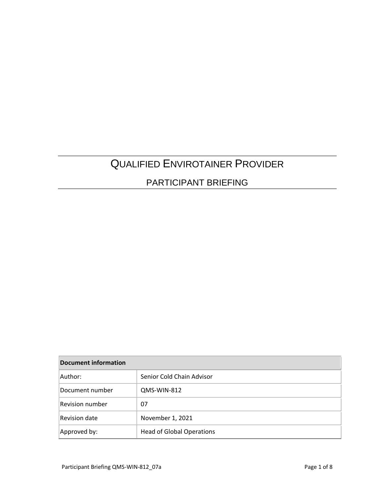# QUALIFIED ENVIROTAINER PROVIDER

### PARTICIPANT BRIEFING

| <b>Document information</b> |                                  |
|-----------------------------|----------------------------------|
| Author:                     | Senior Cold Chain Advisor        |
| Document number             | QMS-WIN-812                      |
| <b>Revision number</b>      | 07                               |
| Revision date               | November 1, 2021                 |
| Approved by:                | <b>Head of Global Operations</b> |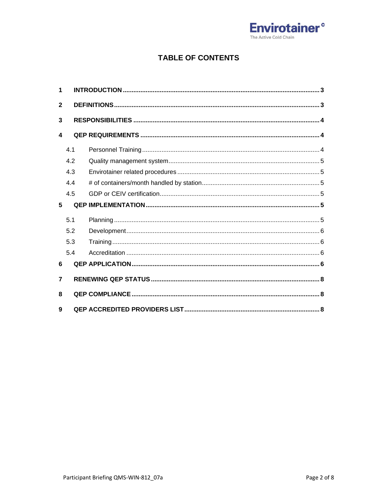

### **TABLE OF CONTENTS**

| 1              |     |  |
|----------------|-----|--|
| $\mathbf{2}$   |     |  |
| 3              |     |  |
| 4              |     |  |
|                | 4.1 |  |
|                | 4.2 |  |
|                | 4.3 |  |
|                | 4.4 |  |
|                | 4.5 |  |
|                |     |  |
| 5              |     |  |
|                | 5.1 |  |
|                | 5.2 |  |
|                | 5.3 |  |
|                | 5.4 |  |
| 6              |     |  |
| $\overline{7}$ |     |  |
| 8              |     |  |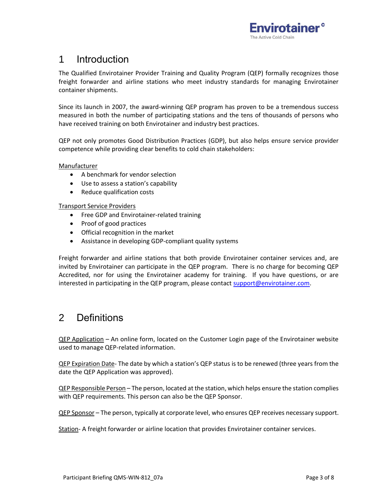

## 1 Introduction

The Qualified Envirotainer Provider Training and Quality Program (QEP) formally recognizes those freight forwarder and airline stations who meet industry standards for managing Envirotainer container shipments.

Since its launch in 2007, the award-winning QEP program has proven to be a tremendous success measured in both the number of participating stations and the tens of thousands of persons who have received training on both Envirotainer and industry best practices.

QEP not only promotes Good Distribution Practices (GDP), but also helps ensure service provider competence while providing clear benefits to cold chain stakeholders:

**Manufacturer** 

- A benchmark for vendor selection
- Use to assess a station's capability
- Reduce qualification costs

Transport Service Providers

- Free GDP and Envirotainer-related training
- Proof of good practices
- Official recognition in the market
- Assistance in developing GDP-compliant quality systems

Freight forwarder and airline stations that both provide Envirotainer container services and, are invited by Envirotainer can participate in the QEP program. There is no charge for becoming QEP Accredited, nor for using the Envirotainer academy for training. If you have questions, or are interested in participating in the QEP program, please contact [support@envirotainer.com.](mailto:support@envirotainer.com)

### 2 Definitions

QEP Application – An online form, located on the Customer Login page of the Envirotainer website used to manage QEP-related information.

QEP Expiration Date- The date by which a station's QEP status is to be renewed (three years from the date the QEP Application was approved).

QEP Responsible Person – The person, located at the station, which helps ensure the station complies with QEP requirements. This person can also be the QEP Sponsor.

QEP Sponsor – The person, typically at corporate level, who ensures QEP receives necessary support.

Station- A freight forwarder or airline location that provides Envirotainer container services.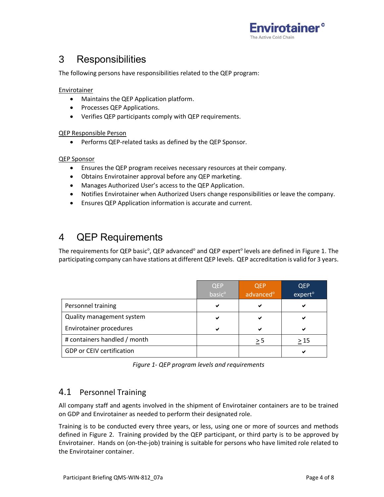

## 3 Responsibilities

The following persons have responsibilities related to the QEP program:

#### **Envirotainer**

- Maintains the QEP Application platform.
- Processes QEP Applications.
- Verifies QEP participants comply with QEP requirements.

#### QEP Responsible Person

• Performs QEP-related tasks as defined by the QEP Sponsor.

#### QEP Sponsor

- Ensures the QEP program receives necessary resources at their company.
- Obtains Envirotainer approval before any QEP marketing.
- Manages Authorized User's access to the QEP Application.
- Notifies Envirotainer when Authorized Users change responsibilities or leave the company.
- Ensures QEP Application information is accurate and current.

## 4 QEP Requirements

The requirements for QEP basic<sup>o</sup>, QEP advanced<sup>o</sup> and QEP expert<sup>o</sup> levels are defined in Figure 1. The participating company can have stations at different QEP levels. QEP accreditation is valid for 3 years.

|                                  | <b>QEP</b><br>basic <sup>o</sup> | <b>QEP</b><br>advanced <sup>o</sup> | <b>QEP</b><br>expert <sup>o</sup> |
|----------------------------------|----------------------------------|-------------------------------------|-----------------------------------|
| Personnel training               | ✔                                | ✔                                   | ✔                                 |
| Quality management system        | ✔                                | ✔                                   | ✔                                 |
| Envirotainer procedures          | ✔                                |                                     | ✔                                 |
| # containers handled / month     |                                  | > 5                                 | >15                               |
| <b>GDP or CEIV certification</b> |                                  |                                     | ✔                                 |

*Figure 1- QEP program levels and requirements*

### 4.1 Personnel Training

All company staff and agents involved in the shipment of Envirotainer containers are to be trained on GDP and Envirotainer as needed to perform their designated role.

Training is to be conducted every three years, or less, using one or more of sources and methods defined in Figure 2. Training provided by the QEP participant, or third party is to be approved by Envirotainer. Hands on (on-the-job) training is suitable for persons who have limited role related to the Envirotainer container.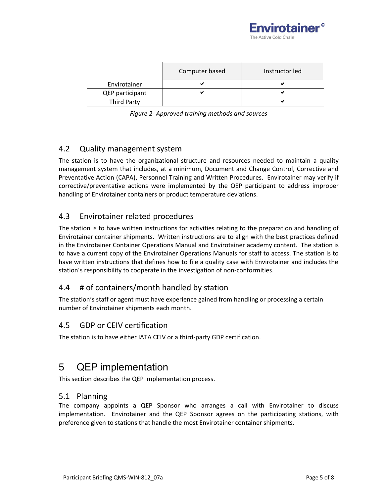

|                    | Computer based | Instructor led |
|--------------------|----------------|----------------|
| Envirotainer       |                |                |
| QEP participant    |                |                |
| <b>Third Party</b> |                |                |

| Figure 2- Approved training methods and sources |  |  |  |  |
|-------------------------------------------------|--|--|--|--|
|-------------------------------------------------|--|--|--|--|

### 4.2 Quality management system

The station is to have the organizational structure and resources needed to maintain a quality management system that includes, at a minimum, Document and Change Control, Corrective and Preventative Action (CAPA), Personnel Training and Written Procedures. Envirotainer may verify if corrective/preventative actions were implemented by the QEP participant to address improper handling of Envirotainer containers or product temperature deviations.

### 4.3 Envirotainer related procedures

The station is to have written instructions for activities relating to the preparation and handling of Envirotainer container shipments. Written instructions are to align with the best practices defined in the Envirotainer Container Operations Manual and Envirotainer academy content. The station is to have a current copy of the Envirotainer Operations Manuals for staff to access. The station is to have written instructions that defines how to file a quality case with Envirotainer and includes the station's responsibility to cooperate in the investigation of non-conformities.

### 4.4 # of containers/month handled by station

The station's staff or agent must have experience gained from handling or processing a certain number of Envirotainer shipments each month.

### 4.5 GDP or CEIV certification

The station is to have either IATA CEIV or a third-party GDP certification.

## 5 QEP implementation

This section describes the QEP implementation process.

#### 5.1 Planning

The company appoints a QEP Sponsor who arranges a call with Envirotainer to discuss implementation. Envirotainer and the QEP Sponsor agrees on the participating stations, with preference given to stations that handle the most Envirotainer container shipments.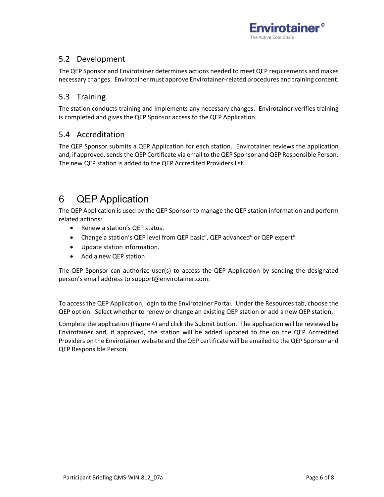

### 5.2 Development

The QEP Sponsor and Envirotainer determines actions needed to meet QEP requirements and makes necessary changes. Envirotainer must approve Envirotainer-related procedures and training content.

### 5.3 Training

The station conducts training and implements any necessary changes. Envirotainer verifies training is completed and gives the QEP Sponsor access to the QEP Application.

### 5.4 Accreditation

The QEP Sponsor submits a QEP Application for each station. Envirotainer reviews the application and, if approved, sends the QEP Certificate via email to the QEP Sponsor and QEP Responsible Person. The new QEP station is added to the QEP Accredited Providers list.

## 6 QEP Application

The QEP Application is used by the QEP Sponsor to manage the QEP station information and perform related actions:

- Renew a station's QEP status.
- Change a station's QEP level from QEP basic<sup>o</sup>, QEP advanced<sup>o</sup> or QEP expert<sup>o</sup>.
- Update station information.
- Add a new QEP station.

The QEP Sponsor can authorize user(s) to access the QEP Application by sending the designated person's email address to support@envirotainer.com.

To access the QEP Application, login to the Envirotainer Portal. Under the Resources tab, choose the QEP option. Select whether to renew or change an existing QEP station or add a new QEP station.

Complete the application (Figure 4) and click the Submit button. The application will be reviewed by Envirotainer and, if approved, the station will be added updated to the on the [QEP Accredited](http://www.envirotainer.com/en/Active-Cold-Chain-Network/Qualified-Envirotainer-Providers-QEP/?partnerId=59)  [Providers](http://www.envirotainer.com/en/Active-Cold-Chain-Network/Qualified-Envirotainer-Providers-QEP/?partnerId=59) on the Envirotainer website and the QEP certificate will be emailed to the QEP Sponsor and QEP Responsible Person.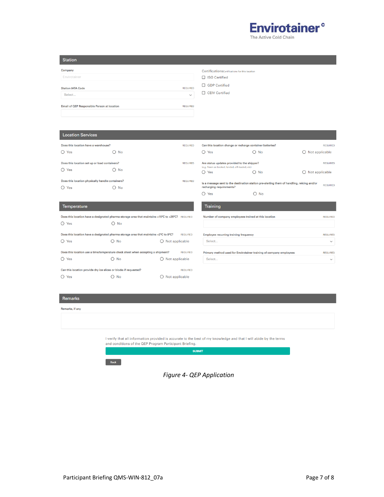

The Active Cold Chain

| <b>Station</b>                              |                                                                             |
|---------------------------------------------|-----------------------------------------------------------------------------|
| Company<br>Envirotainer                     | Certifications Certifications for this location<br>□ ISO Certified          |
| <b>Station IATA Code</b><br>Select          | □ GDP Certified<br><b>REQUIRED</b><br>$\Box$ CEIV Certified<br>$\checkmark$ |
| Email of QEP Responsible Person at location | <b>REQUIRED</b>                                                             |

#### Location Services

| Does this location have a warehouse?<br>$O$ Yes             | $\bigcirc$ No | <b>REQUIRED</b> | Can this location change or recharge container batteries?<br>$\bigcirc$ Yes                                            | No<br>O       | $\bigcirc$ Not applicable | <b>REQUIRED</b> |
|-------------------------------------------------------------|---------------|-----------------|------------------------------------------------------------------------------------------------------------------------|---------------|---------------------------|-----------------|
| Does this location set up or load containers?<br>$O$ Yes    | $\bigcirc$ No | <b>REQUIRED</b> | Are status updates provided to the shipper?<br>(e.g. flown as booked, landed, off-loaded, etc)<br>$\bigcirc$ Yes       | $\bigcirc$ No | $\bigcirc$ Not applicable | <b>REQUIRED</b> |
| Does this location physically handle containers?<br>$O$ Yes | $\bigcirc$ No | <b>REQUIRED</b> | Is a message sent to the destination station pre-alerting them of handling, reiging and/or<br>recharging requirements? |               |                           | <b>REQUIRED</b> |
|                                                             |               |                 | $\bigcap$ Yes                                                                                                          | $\bigcirc$ No |                           |                 |

#### Temperature

Does this location have a designated pharma storage area that maintains +15°C to +25°C? REQUIRED  $\bigcirc$  Yes  $O$  No

|                                                                  | Does this location have a designated pharma storage area that maintains +2°C to 8°C? |                       | <b>REQUIRED</b> |
|------------------------------------------------------------------|--------------------------------------------------------------------------------------|-----------------------|-----------------|
| $\bigcap$ Yes                                                    | No                                                                                   | Not applicable        |                 |
|                                                                  | Does this location use a time/temperature check sheet when accepting a shipment?     |                       | <b>REQUIRED</b> |
| $\bigcap$ Yes                                                    | ∩ No                                                                                 | Not applicable<br>( ) |                 |
| Can this location provide dry ice slices or blocks if requested? |                                                                                      |                       | <b>REQUIRED</b> |
| $\bigcirc$ Yes                                                   | No                                                                                   | Not applicable        |                 |

| <b>Training</b>                                                    |                 |
|--------------------------------------------------------------------|-----------------|
| Number of company employees trained at this location               | <b>REQUIRED</b> |
|                                                                    |                 |
| <b>Employee recurring training frequency</b>                       | <b>REQUIRED</b> |
| Select                                                             | $\checkmark$    |
| Primary method used for Envirotainer training of company employees | <b>REQUIRED</b> |
| Select                                                             | $\checkmark$    |

#### Remarks

Rer

| marks, if any                                           |                                                                                                                   |
|---------------------------------------------------------|-------------------------------------------------------------------------------------------------------------------|
|                                                         |                                                                                                                   |
|                                                         |                                                                                                                   |
| and conditions of the QEP Program Participant Briefing. | I verify that all information provided is accurate to the best of my knowledge and that I will abide by the terms |
|                                                         | <b>SUBMIT</b>                                                                                                     |
| <b>Back</b>                                             |                                                                                                                   |

### *Figure 4- QEP Application*